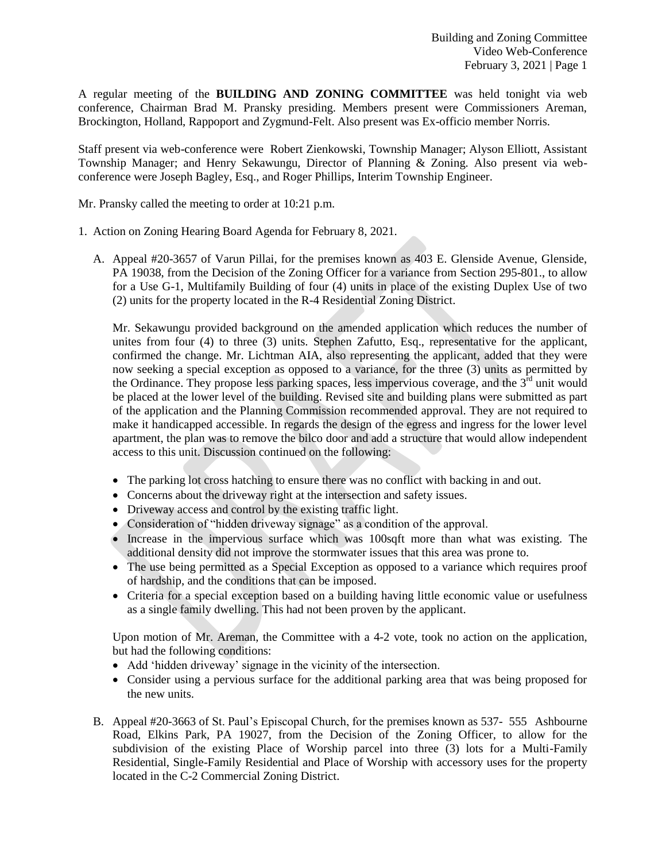A regular meeting of the **BUILDING AND ZONING COMMITTEE** was held tonight via web conference, Chairman Brad M. Pransky presiding. Members present were Commissioners Areman, Brockington, Holland, Rappoport and Zygmund-Felt. Also present was Ex-officio member Norris.

Staff present via web-conference were Robert Zienkowski, Township Manager; Alyson Elliott, Assistant Township Manager; and Henry Sekawungu, Director of Planning & Zoning. Also present via webconference were Joseph Bagley, Esq., and Roger Phillips, Interim Township Engineer.

Mr. Pransky called the meeting to order at 10:21 p.m.

- 1. Action on Zoning Hearing Board Agenda for February 8, 2021.
	- A. Appeal #20-3657 of Varun Pillai, for the premises known as 403 E. Glenside Avenue, Glenside, PA 19038, from the Decision of the Zoning Officer for a variance from Section 295-801., to allow for a Use G-1, Multifamily Building of four (4) units in place of the existing Duplex Use of two (2) units for the property located in the R-4 Residential Zoning District.

Mr. Sekawungu provided background on the amended application which reduces the number of unites from four (4) to three (3) units. Stephen Zafutto, Esq., representative for the applicant, confirmed the change. Mr. Lichtman AIA, also representing the applicant, added that they were now seeking a special exception as opposed to a variance, for the three (3) units as permitted by the Ordinance. They propose less parking spaces, less impervious coverage, and the 3<sup>rd</sup> unit would be placed at the lower level of the building. Revised site and building plans were submitted as part of the application and the Planning Commission recommended approval. They are not required to make it handicapped accessible. In regards the design of the egress and ingress for the lower level apartment, the plan was to remove the bilco door and add a structure that would allow independent access to this unit. Discussion continued on the following:

- The parking lot cross hatching to ensure there was no conflict with backing in and out.
- Concerns about the driveway right at the intersection and safety issues.
- Driveway access and control by the existing traffic light.
- Consideration of "hidden driveway signage" as a condition of the approval.
- Increase in the impervious surface which was 100sqft more than what was existing. The additional density did not improve the stormwater issues that this area was prone to.
- The use being permitted as a Special Exception as opposed to a variance which requires proof of hardship, and the conditions that can be imposed.
- Criteria for a special exception based on a building having little economic value or usefulness as a single family dwelling. This had not been proven by the applicant.

Upon motion of Mr. Areman, the Committee with a 4-2 vote, took no action on the application, but had the following conditions:

- Add 'hidden driveway' signage in the vicinity of the intersection.
- Consider using a pervious surface for the additional parking area that was being proposed for the new units.
- B. Appeal #20-3663 of St. Paul's Episcopal Church, for the premises known as 537- 555 Ashbourne Road, Elkins Park, PA 19027, from the Decision of the Zoning Officer, to allow for the subdivision of the existing Place of Worship parcel into three (3) lots for a Multi-Family Residential, Single-Family Residential and Place of Worship with accessory uses for the property located in the C-2 Commercial Zoning District.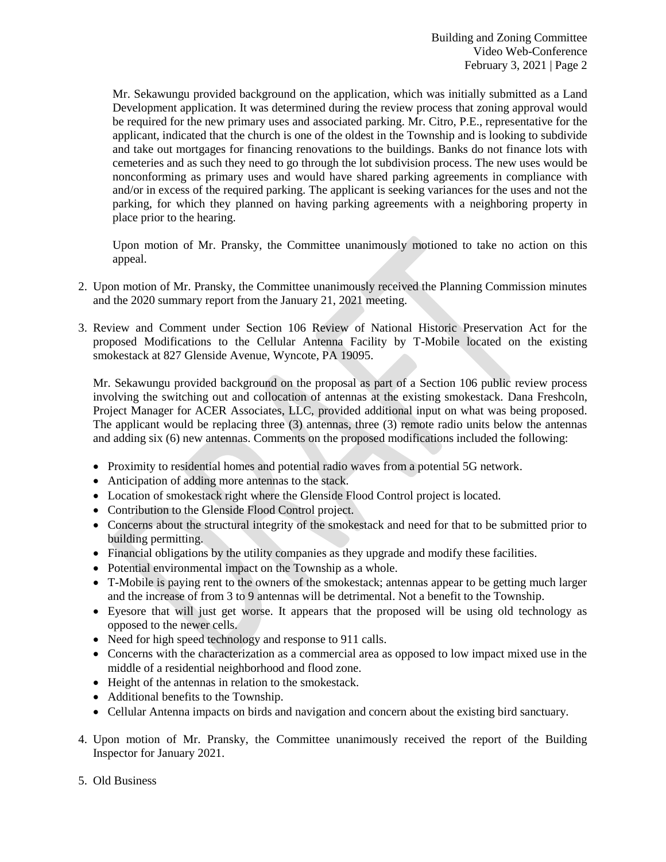Mr. Sekawungu provided background on the application, which was initially submitted as a Land Development application. It was determined during the review process that zoning approval would be required for the new primary uses and associated parking. Mr. Citro, P.E., representative for the applicant, indicated that the church is one of the oldest in the Township and is looking to subdivide and take out mortgages for financing renovations to the buildings. Banks do not finance lots with cemeteries and as such they need to go through the lot subdivision process. The new uses would be nonconforming as primary uses and would have shared parking agreements in compliance with and/or in excess of the required parking. The applicant is seeking variances for the uses and not the parking, for which they planned on having parking agreements with a neighboring property in place prior to the hearing.

Upon motion of Mr. Pransky, the Committee unanimously motioned to take no action on this appeal.

- 2. Upon motion of Mr. Pransky, the Committee unanimously received the Planning Commission minutes and the 2020 summary report from the January 21, 2021 meeting.
- 3. Review and Comment under Section 106 Review of National Historic Preservation Act for the proposed Modifications to the Cellular Antenna Facility by T-Mobile located on the existing smokestack at 827 Glenside Avenue, Wyncote, PA 19095.

Mr. Sekawungu provided background on the proposal as part of a Section 106 public review process involving the switching out and collocation of antennas at the existing smokestack. Dana Freshcoln, Project Manager for ACER Associates, LLC, provided additional input on what was being proposed. The applicant would be replacing three (3) antennas, three (3) remote radio units below the antennas and adding six (6) new antennas. Comments on the proposed modifications included the following:

- Proximity to residential homes and potential radio waves from a potential 5G network.
- Anticipation of adding more antennas to the stack.
- Location of smokestack right where the Glenside Flood Control project is located.
- Contribution to the Glenside Flood Control project.
- Concerns about the structural integrity of the smokestack and need for that to be submitted prior to building permitting.
- Financial obligations by the utility companies as they upgrade and modify these facilities.
- Potential environmental impact on the Township as a whole.
- T-Mobile is paying rent to the owners of the smokestack; antennas appear to be getting much larger and the increase of from 3 to 9 antennas will be detrimental. Not a benefit to the Township.
- Eyesore that will just get worse. It appears that the proposed will be using old technology as opposed to the newer cells.
- Need for high speed technology and response to 911 calls.
- Concerns with the characterization as a commercial area as opposed to low impact mixed use in the middle of a residential neighborhood and flood zone.
- Height of the antennas in relation to the smokestack.
- Additional benefits to the Township.
- Cellular Antenna impacts on birds and navigation and concern about the existing bird sanctuary.
- 4. Upon motion of Mr. Pransky, the Committee unanimously received the report of the Building Inspector for January 2021.
- 5. Old Business